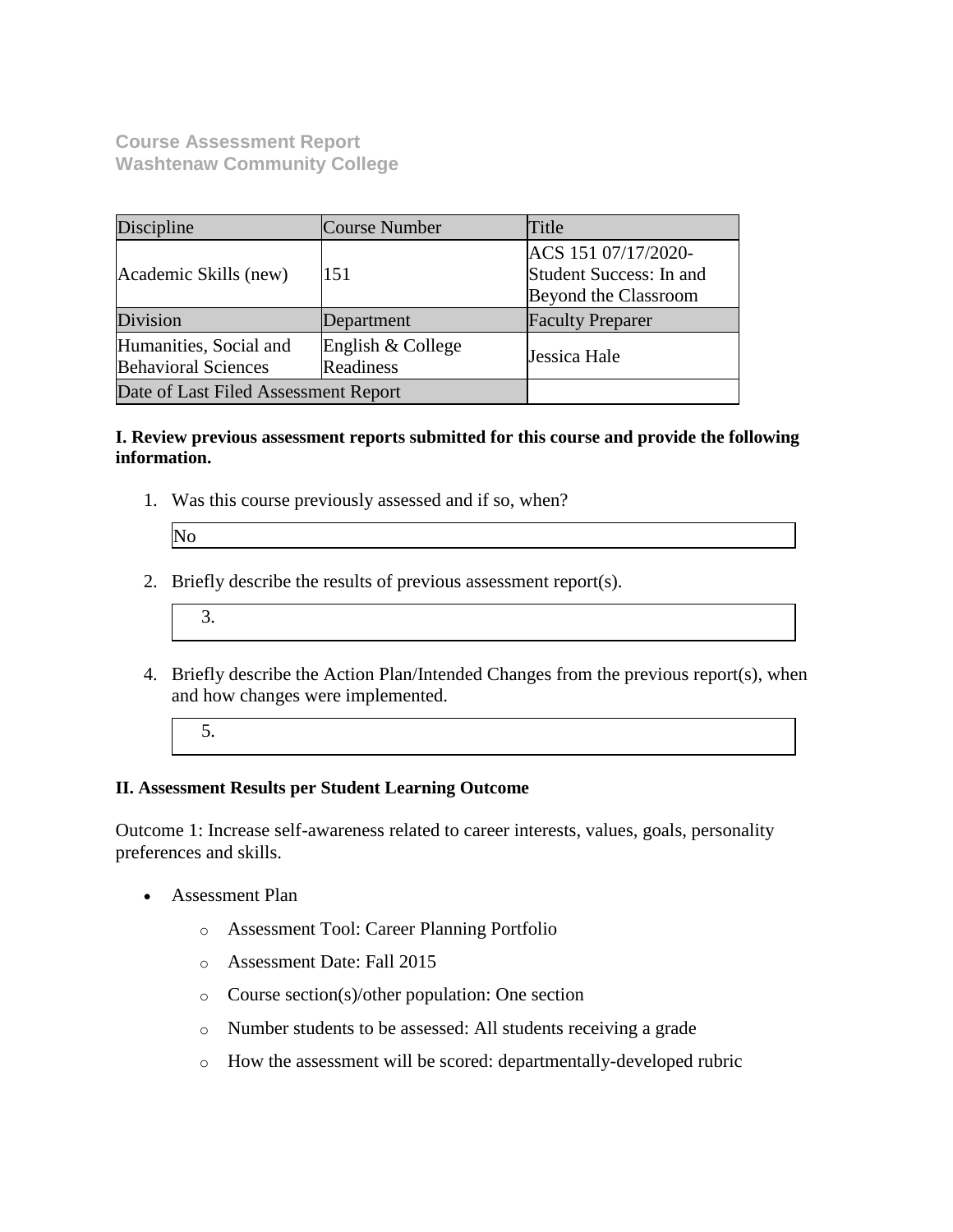**Course Assessment Report Washtenaw Community College**

| Discipline                                           | Course Number                  | Title                                                                         |
|------------------------------------------------------|--------------------------------|-------------------------------------------------------------------------------|
| Academic Skills (new)                                | 151                            | ACS 151 07/17/2020-<br>Student Success: In and<br><b>Beyond the Classroom</b> |
| <b>Division</b>                                      | Department                     | <b>Faculty Preparer</b>                                                       |
| Humanities, Social and<br><b>Behavioral Sciences</b> | English & College<br>Readiness | Jessica Hale                                                                  |
| Date of Last Filed Assessment Report                 |                                |                                                                               |

#### **I. Review previous assessment reports submitted for this course and provide the following information.**

1. Was this course previously assessed and if so, when?

| Þ |  |
|---|--|
|   |  |

- 2. Briefly describe the results of previous assessment report(s).
	- 3.
- 4. Briefly describe the Action Plan/Intended Changes from the previous report(s), when and how changes were implemented.
	- 5.

### **II. Assessment Results per Student Learning Outcome**

Outcome 1: Increase self-awareness related to career interests, values, goals, personality preferences and skills.

- Assessment Plan
	- o Assessment Tool: Career Planning Portfolio
	- o Assessment Date: Fall 2015
	- o Course section(s)/other population: One section
	- o Number students to be assessed: All students receiving a grade
	- o How the assessment will be scored: departmentally-developed rubric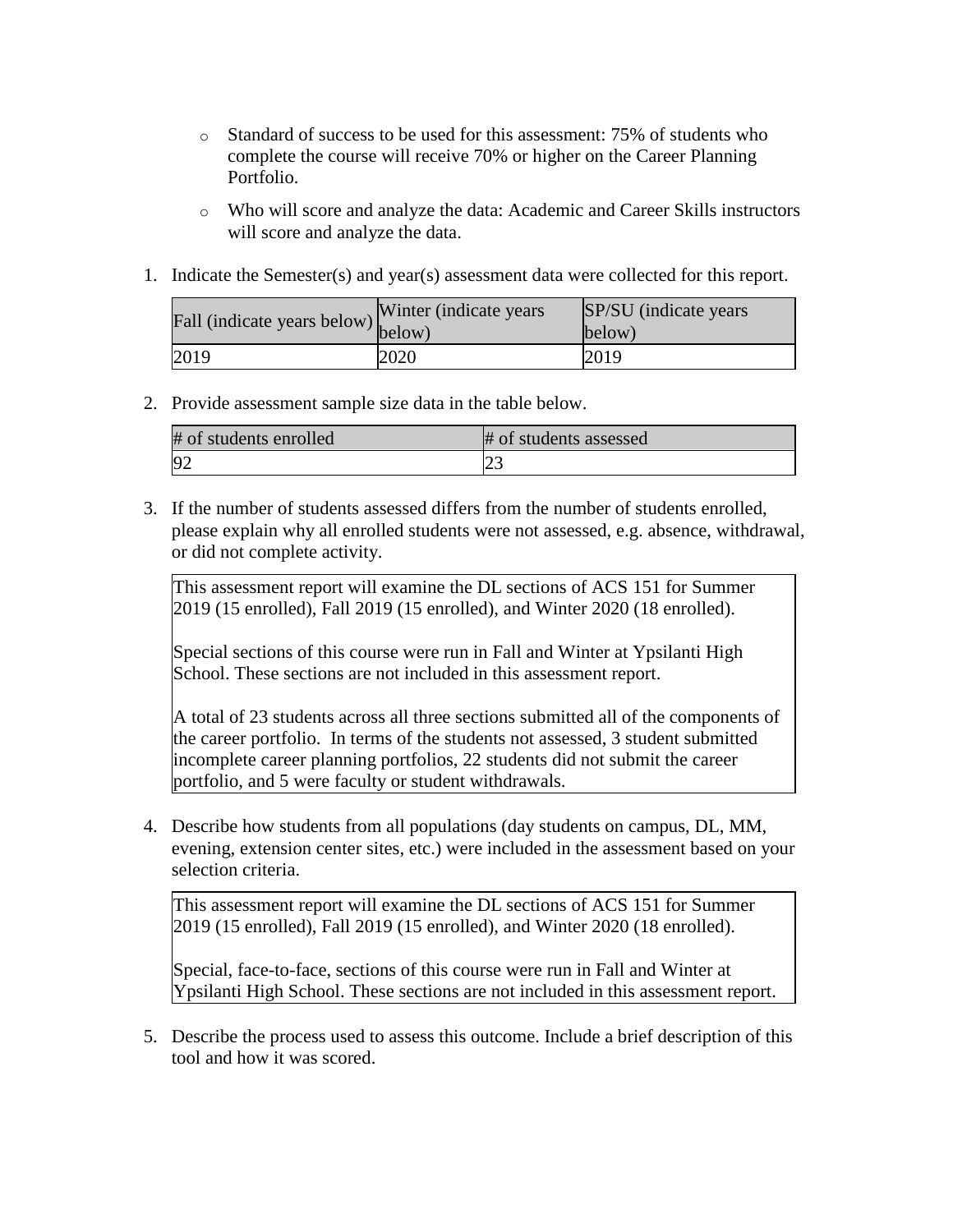- o Standard of success to be used for this assessment: 75% of students who complete the course will receive 70% or higher on the Career Planning Portfolio.
- o Who will score and analyze the data: Academic and Career Skills instructors will score and analyze the data.
- 1. Indicate the Semester(s) and year(s) assessment data were collected for this report.

| Fall (indicate years below) below) | Winter (indicate years) | SP/SU (indicate years)<br>below) |
|------------------------------------|-------------------------|----------------------------------|
| 2019                               | 2020                    | 2019                             |

2. Provide assessment sample size data in the table below.

| # of students enrolled | # of students assessed |
|------------------------|------------------------|
|                        |                        |

3. If the number of students assessed differs from the number of students enrolled, please explain why all enrolled students were not assessed, e.g. absence, withdrawal, or did not complete activity.

This assessment report will examine the DL sections of ACS 151 for Summer 2019 (15 enrolled), Fall 2019 (15 enrolled), and Winter 2020 (18 enrolled).

Special sections of this course were run in Fall and Winter at Ypsilanti High School. These sections are not included in this assessment report.

A total of 23 students across all three sections submitted all of the components of the career portfolio. In terms of the students not assessed, 3 student submitted incomplete career planning portfolios, 22 students did not submit the career portfolio, and 5 were faculty or student withdrawals.

4. Describe how students from all populations (day students on campus, DL, MM, evening, extension center sites, etc.) were included in the assessment based on your selection criteria.

This assessment report will examine the DL sections of ACS 151 for Summer 2019 (15 enrolled), Fall 2019 (15 enrolled), and Winter 2020 (18 enrolled).

Special, face-to-face, sections of this course were run in Fall and Winter at Ypsilanti High School. These sections are not included in this assessment report.

5. Describe the process used to assess this outcome. Include a brief description of this tool and how it was scored.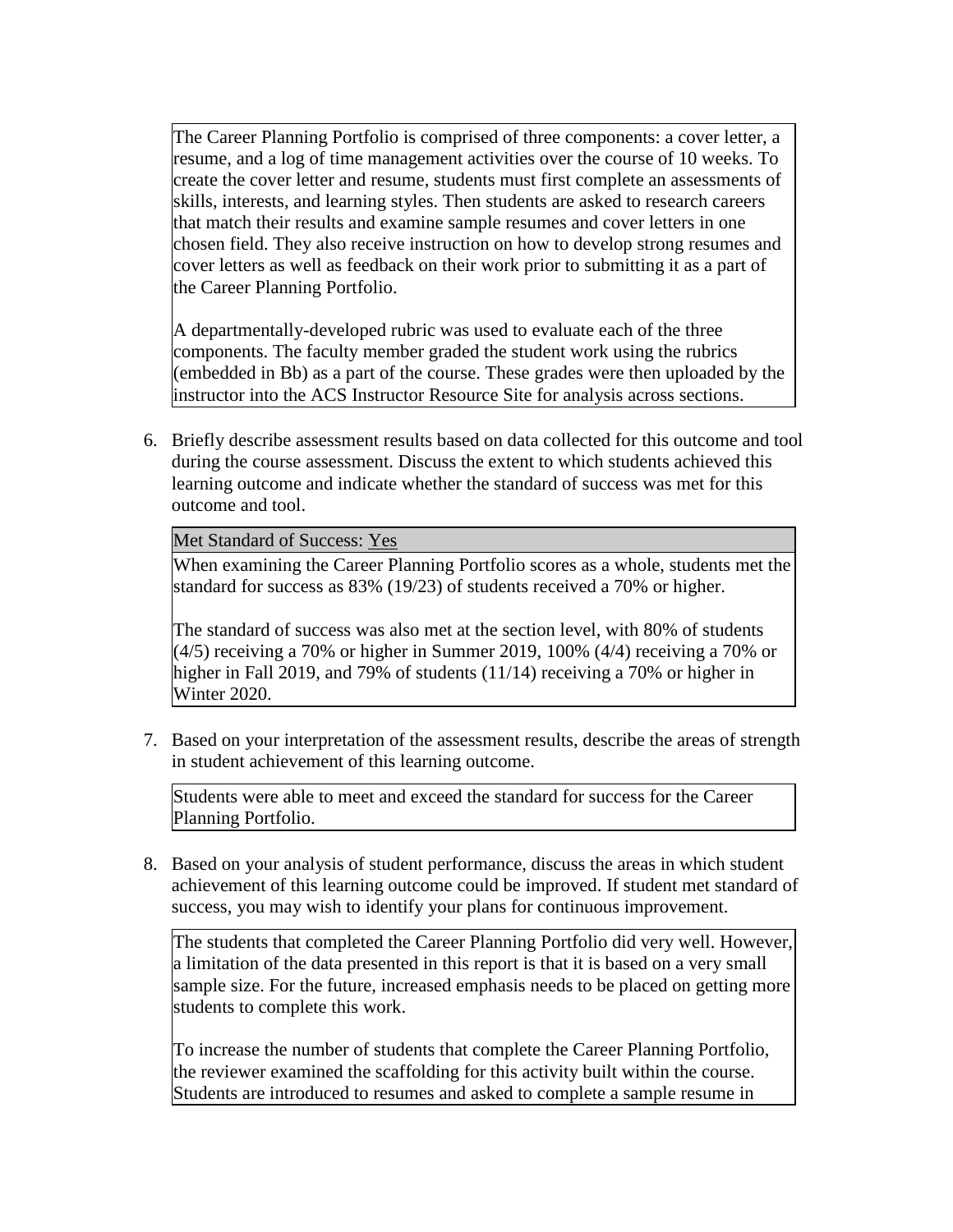The Career Planning Portfolio is comprised of three components: a cover letter, a resume, and a log of time management activities over the course of 10 weeks. To create the cover letter and resume, students must first complete an assessments of skills, interests, and learning styles. Then students are asked to research careers that match their results and examine sample resumes and cover letters in one chosen field. They also receive instruction on how to develop strong resumes and cover letters as well as feedback on their work prior to submitting it as a part of the Career Planning Portfolio.

A departmentally-developed rubric was used to evaluate each of the three components. The faculty member graded the student work using the rubrics (embedded in Bb) as a part of the course. These grades were then uploaded by the instructor into the ACS Instructor Resource Site for analysis across sections.

6. Briefly describe assessment results based on data collected for this outcome and tool during the course assessment. Discuss the extent to which students achieved this learning outcome and indicate whether the standard of success was met for this outcome and tool.

Met Standard of Success: Yes

When examining the Career Planning Portfolio scores as a whole, students met the standard for success as 83% (19/23) of students received a 70% or higher.

The standard of success was also met at the section level, with 80% of students  $(4/5)$  receiving a 70% or higher in Summer 2019, 100%  $(4/4)$  receiving a 70% or higher in Fall 2019, and 79% of students (11/14) receiving a 70% or higher in Winter 2020.

7. Based on your interpretation of the assessment results, describe the areas of strength in student achievement of this learning outcome.

Students were able to meet and exceed the standard for success for the Career Planning Portfolio.

8. Based on your analysis of student performance, discuss the areas in which student achievement of this learning outcome could be improved. If student met standard of success, you may wish to identify your plans for continuous improvement.

The students that completed the Career Planning Portfolio did very well. However, a limitation of the data presented in this report is that it is based on a very small sample size. For the future, increased emphasis needs to be placed on getting more students to complete this work.

To increase the number of students that complete the Career Planning Portfolio, the reviewer examined the scaffolding for this activity built within the course. Students are introduced to resumes and asked to complete a sample resume in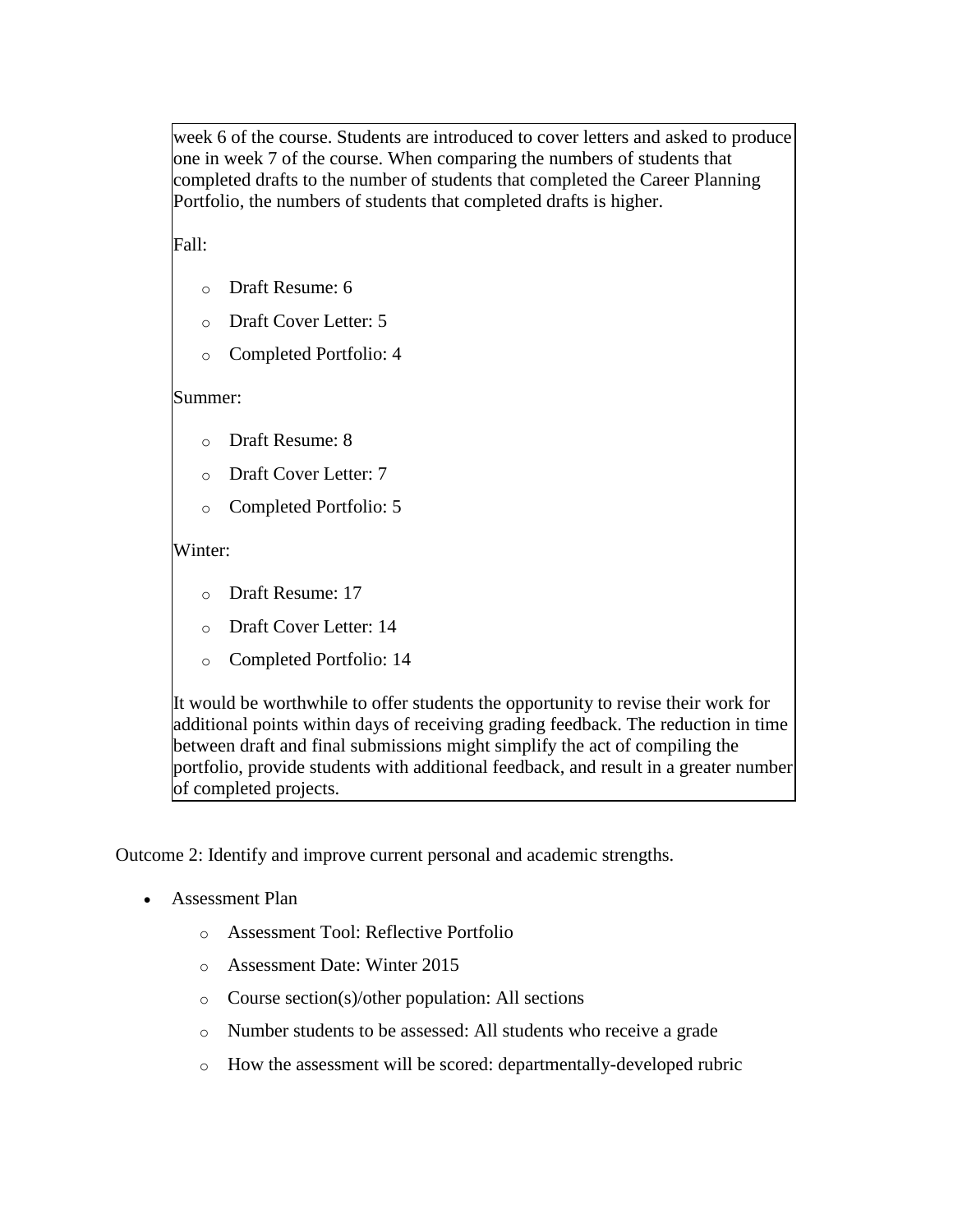week 6 of the course. Students are introduced to cover letters and asked to produce one in week 7 of the course. When comparing the numbers of students that completed drafts to the number of students that completed the Career Planning Portfolio, the numbers of students that completed drafts is higher.

Fall:

- o Draft Resume: 6
- o Draft Cover Letter: 5
- o Completed Portfolio: 4

Summer:

- o Draft Resume: 8
- o Draft Cover Letter: 7
- o Completed Portfolio: 5

# Winter:

- o Draft Resume: 17
- o Draft Cover Letter: 14
- o Completed Portfolio: 14

It would be worthwhile to offer students the opportunity to revise their work for additional points within days of receiving grading feedback. The reduction in time between draft and final submissions might simplify the act of compiling the portfolio, provide students with additional feedback, and result in a greater number of completed projects.

Outcome 2: Identify and improve current personal and academic strengths.

- Assessment Plan
	- o Assessment Tool: Reflective Portfolio
	- o Assessment Date: Winter 2015
	- o Course section(s)/other population: All sections
	- o Number students to be assessed: All students who receive a grade
	- o How the assessment will be scored: departmentally-developed rubric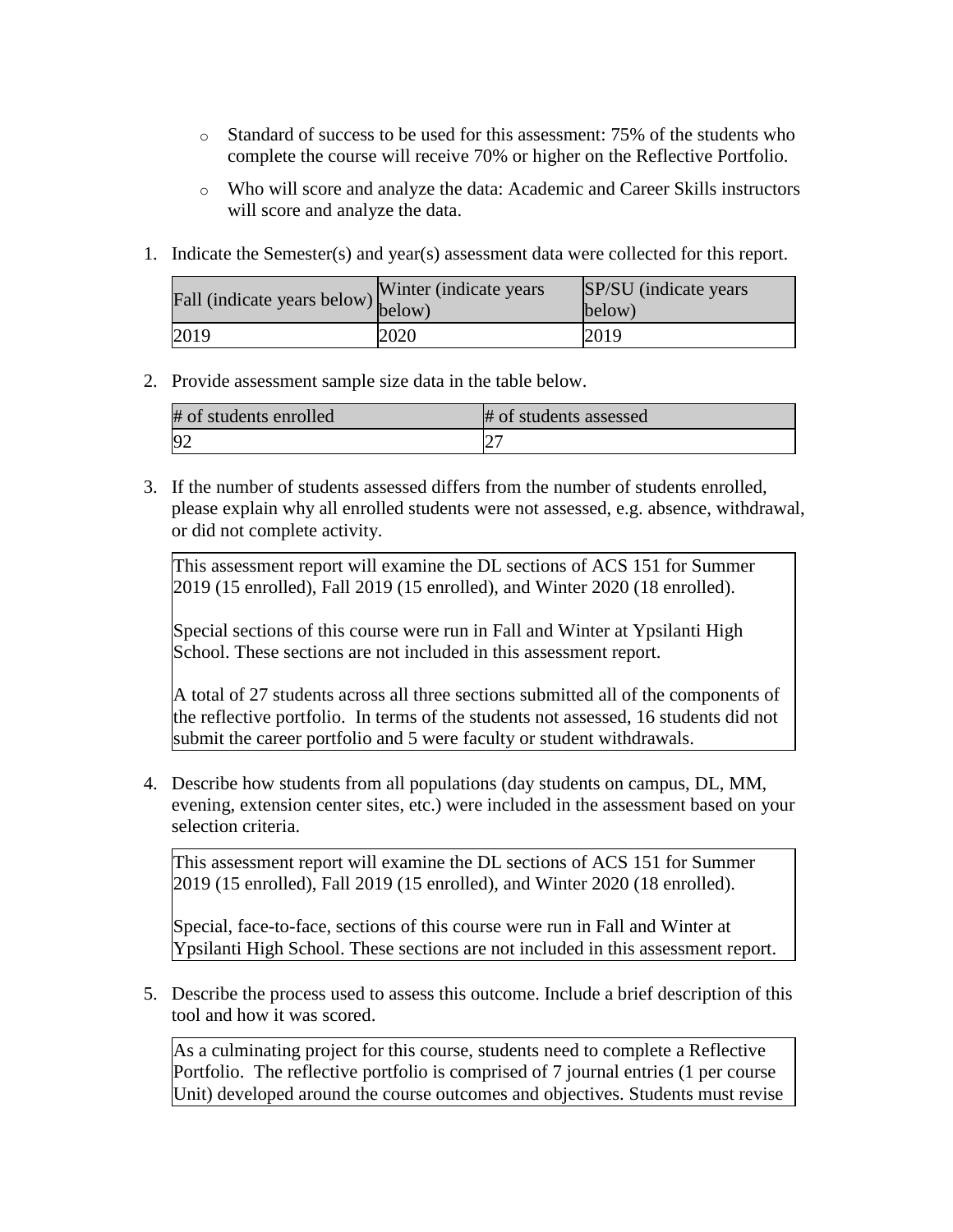- o Standard of success to be used for this assessment: 75% of the students who complete the course will receive 70% or higher on the Reflective Portfolio.
- o Who will score and analyze the data: Academic and Career Skills instructors will score and analyze the data.
- 1. Indicate the Semester(s) and year(s) assessment data were collected for this report.

| Fall (indicate years below) below) | Winter (indicate years) | SP/SU (indicate years)<br>below) |
|------------------------------------|-------------------------|----------------------------------|
| 2019                               | 2020                    | 2019                             |

### 2. Provide assessment sample size data in the table below.

| # of students enrolled | # of students assessed |
|------------------------|------------------------|
|                        | ∠                      |

3. If the number of students assessed differs from the number of students enrolled, please explain why all enrolled students were not assessed, e.g. absence, withdrawal, or did not complete activity.

This assessment report will examine the DL sections of ACS 151 for Summer 2019 (15 enrolled), Fall 2019 (15 enrolled), and Winter 2020 (18 enrolled).

Special sections of this course were run in Fall and Winter at Ypsilanti High School. These sections are not included in this assessment report.

A total of 27 students across all three sections submitted all of the components of the reflective portfolio. In terms of the students not assessed, 16 students did not submit the career portfolio and 5 were faculty or student withdrawals.

4. Describe how students from all populations (day students on campus, DL, MM, evening, extension center sites, etc.) were included in the assessment based on your selection criteria.

This assessment report will examine the DL sections of ACS 151 for Summer 2019 (15 enrolled), Fall 2019 (15 enrolled), and Winter 2020 (18 enrolled).

Special, face-to-face, sections of this course were run in Fall and Winter at Ypsilanti High School. These sections are not included in this assessment report.

5. Describe the process used to assess this outcome. Include a brief description of this tool and how it was scored.

As a culminating project for this course, students need to complete a Reflective Portfolio. The reflective portfolio is comprised of 7 journal entries (1 per course Unit) developed around the course outcomes and objectives. Students must revise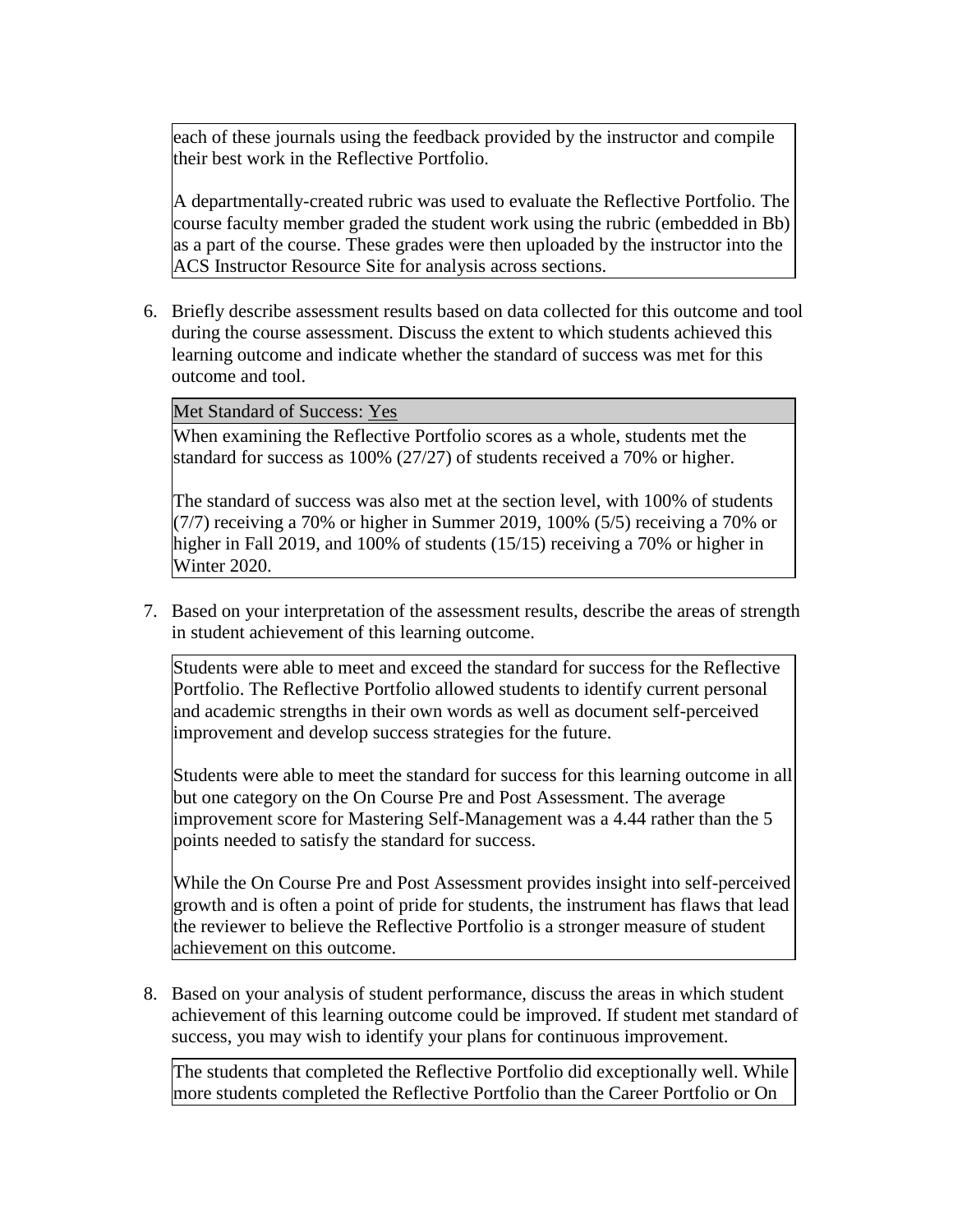each of these journals using the feedback provided by the instructor and compile their best work in the Reflective Portfolio.

A departmentally-created rubric was used to evaluate the Reflective Portfolio. The course faculty member graded the student work using the rubric (embedded in Bb) as a part of the course. These grades were then uploaded by the instructor into the ACS Instructor Resource Site for analysis across sections.

6. Briefly describe assessment results based on data collected for this outcome and tool during the course assessment. Discuss the extent to which students achieved this learning outcome and indicate whether the standard of success was met for this outcome and tool.

Met Standard of Success: Yes

When examining the Reflective Portfolio scores as a whole, students met the standard for success as 100% (27/27) of students received a 70% or higher.

The standard of success was also met at the section level, with 100% of students  $(7/7)$  receiving a 70% or higher in Summer 2019, 100% (5/5) receiving a 70% or higher in Fall 2019, and 100% of students (15/15) receiving a 70% or higher in Winter 2020.

7. Based on your interpretation of the assessment results, describe the areas of strength in student achievement of this learning outcome.

Students were able to meet and exceed the standard for success for the Reflective Portfolio. The Reflective Portfolio allowed students to identify current personal and academic strengths in their own words as well as document self-perceived improvement and develop success strategies for the future.

Students were able to meet the standard for success for this learning outcome in all but one category on the On Course Pre and Post Assessment. The average improvement score for Mastering Self-Management was a 4.44 rather than the 5 points needed to satisfy the standard for success.

While the On Course Pre and Post Assessment provides insight into self-perceived growth and is often a point of pride for students, the instrument has flaws that lead the reviewer to believe the Reflective Portfolio is a stronger measure of student achievement on this outcome.

8. Based on your analysis of student performance, discuss the areas in which student achievement of this learning outcome could be improved. If student met standard of success, you may wish to identify your plans for continuous improvement.

The students that completed the Reflective Portfolio did exceptionally well. While more students completed the Reflective Portfolio than the Career Portfolio or On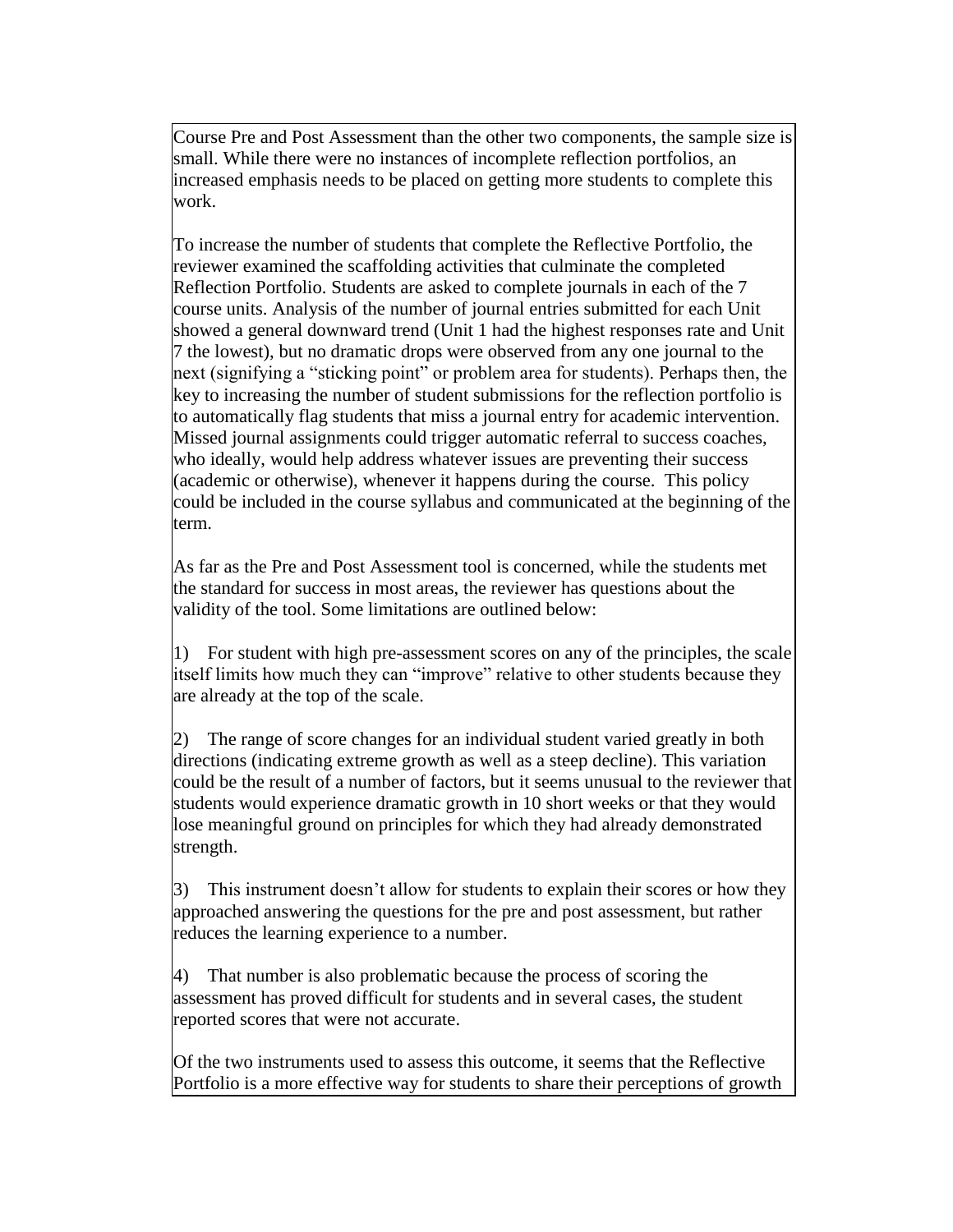Course Pre and Post Assessment than the other two components, the sample size is small. While there were no instances of incomplete reflection portfolios, an increased emphasis needs to be placed on getting more students to complete this work.

To increase the number of students that complete the Reflective Portfolio, the reviewer examined the scaffolding activities that culminate the completed Reflection Portfolio. Students are asked to complete journals in each of the 7 course units. Analysis of the number of journal entries submitted for each Unit showed a general downward trend (Unit 1 had the highest responses rate and Unit 7 the lowest), but no dramatic drops were observed from any one journal to the next (signifying a "sticking point" or problem area for students). Perhaps then, the key to increasing the number of student submissions for the reflection portfolio is to automatically flag students that miss a journal entry for academic intervention. Missed journal assignments could trigger automatic referral to success coaches, who ideally, would help address whatever issues are preventing their success (academic or otherwise), whenever it happens during the course. This policy could be included in the course syllabus and communicated at the beginning of the term.

As far as the Pre and Post Assessment tool is concerned, while the students met the standard for success in most areas, the reviewer has questions about the validity of the tool. Some limitations are outlined below:

1) For student with high pre-assessment scores on any of the principles, the scale itself limits how much they can "improve" relative to other students because they are already at the top of the scale.

2) The range of score changes for an individual student varied greatly in both directions (indicating extreme growth as well as a steep decline). This variation could be the result of a number of factors, but it seems unusual to the reviewer that students would experience dramatic growth in 10 short weeks or that they would lose meaningful ground on principles for which they had already demonstrated strength.

3) This instrument doesn't allow for students to explain their scores or how they approached answering the questions for the pre and post assessment, but rather reduces the learning experience to a number.

4) That number is also problematic because the process of scoring the assessment has proved difficult for students and in several cases, the student reported scores that were not accurate.

Of the two instruments used to assess this outcome, it seems that the Reflective Portfolio is a more effective way for students to share their perceptions of growth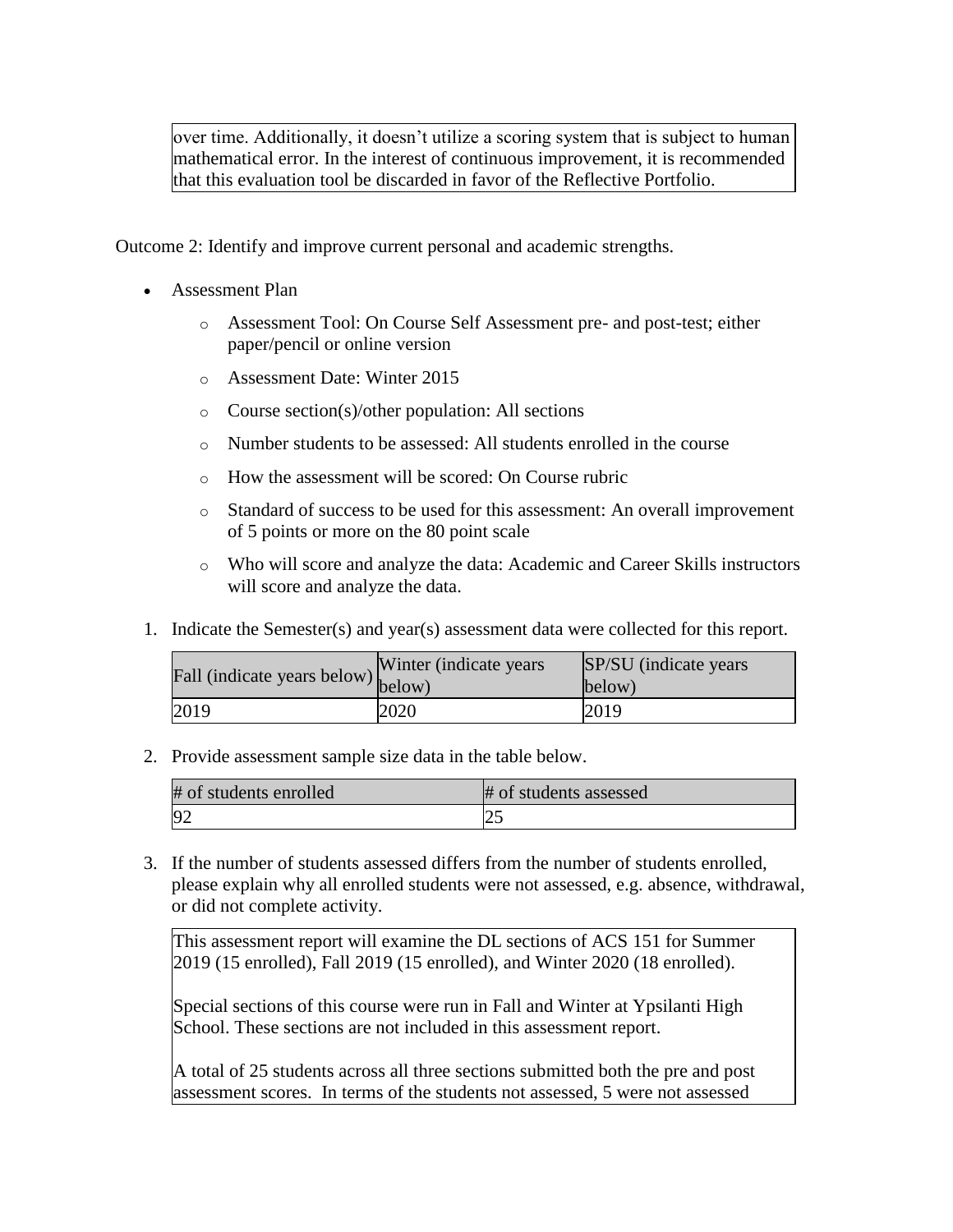over time. Additionally, it doesn't utilize a scoring system that is subject to human mathematical error. In the interest of continuous improvement, it is recommended that this evaluation tool be discarded in favor of the Reflective Portfolio.

Outcome 2: Identify and improve current personal and academic strengths.

- Assessment Plan
	- o Assessment Tool: On Course Self Assessment pre- and post-test; either paper/pencil or online version
	- o Assessment Date: Winter 2015
	- o Course section(s)/other population: All sections
	- o Number students to be assessed: All students enrolled in the course
	- o How the assessment will be scored: On Course rubric
	- o Standard of success to be used for this assessment: An overall improvement of 5 points or more on the 80 point scale
	- o Who will score and analyze the data: Academic and Career Skills instructors will score and analyze the data.
- 1. Indicate the Semester(s) and year(s) assessment data were collected for this report.

| Fall (indicate years below) below) | Winter (indicate years) | SP/SU (indicate years)<br>below) |
|------------------------------------|-------------------------|----------------------------------|
| 2019                               | 2020                    | 2019                             |

2. Provide assessment sample size data in the table below.

| # of students enrolled | # of students assessed |
|------------------------|------------------------|
|                        | $\Omega$<br>ت          |

3. If the number of students assessed differs from the number of students enrolled, please explain why all enrolled students were not assessed, e.g. absence, withdrawal, or did not complete activity.

This assessment report will examine the DL sections of ACS 151 for Summer 2019 (15 enrolled), Fall 2019 (15 enrolled), and Winter 2020 (18 enrolled).

Special sections of this course were run in Fall and Winter at Ypsilanti High School. These sections are not included in this assessment report.

A total of 25 students across all three sections submitted both the pre and post assessment scores. In terms of the students not assessed, 5 were not assessed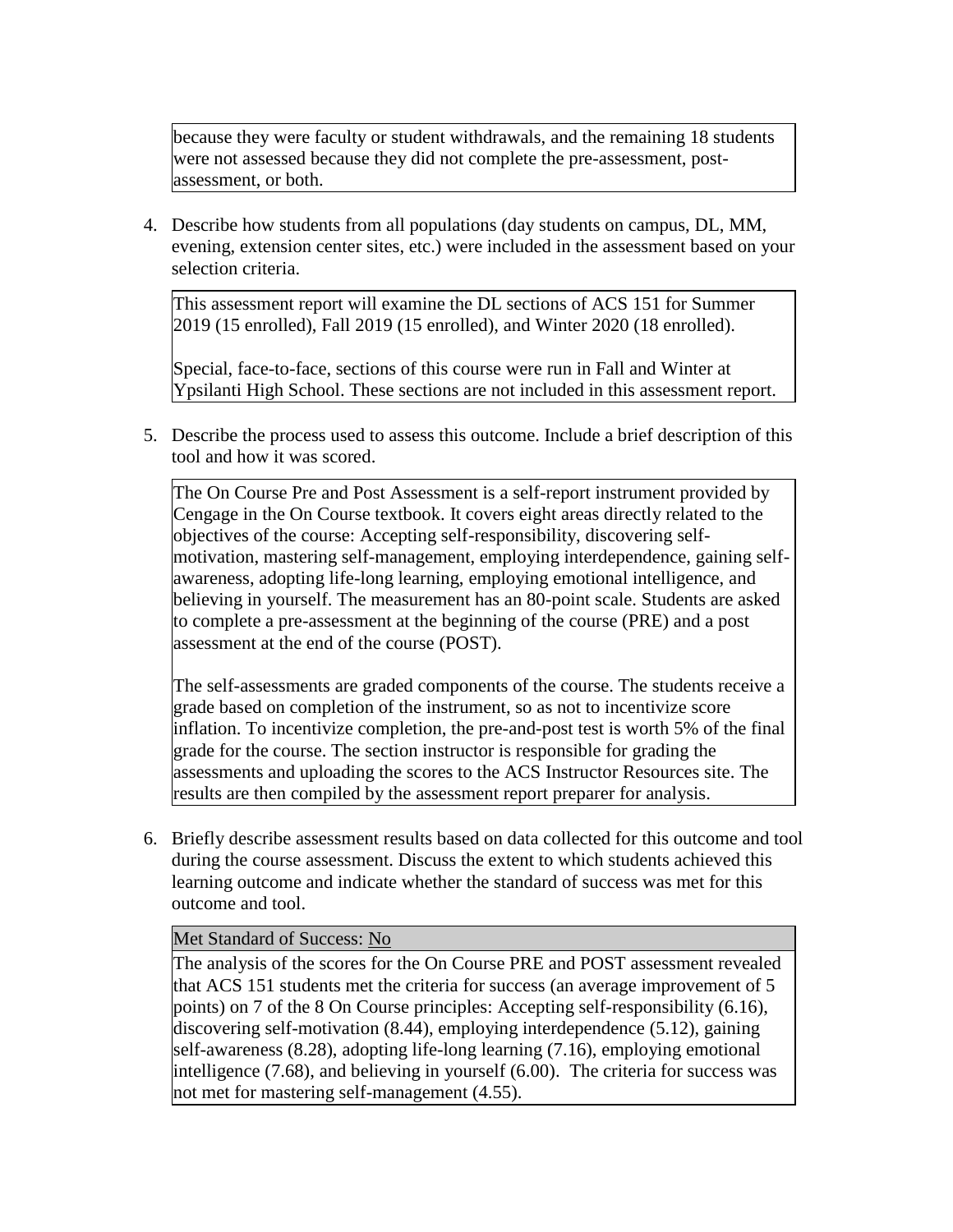because they were faculty or student withdrawals, and the remaining 18 students were not assessed because they did not complete the pre-assessment, postassessment, or both.

4. Describe how students from all populations (day students on campus, DL, MM, evening, extension center sites, etc.) were included in the assessment based on your selection criteria.

This assessment report will examine the DL sections of ACS 151 for Summer 2019 (15 enrolled), Fall 2019 (15 enrolled), and Winter 2020 (18 enrolled).

Special, face-to-face, sections of this course were run in Fall and Winter at Ypsilanti High School. These sections are not included in this assessment report.

5. Describe the process used to assess this outcome. Include a brief description of this tool and how it was scored.

The On Course Pre and Post Assessment is a self-report instrument provided by Cengage in the On Course textbook. It covers eight areas directly related to the objectives of the course: Accepting self-responsibility, discovering selfmotivation, mastering self-management, employing interdependence, gaining selfawareness, adopting life-long learning, employing emotional intelligence, and believing in yourself. The measurement has an 80-point scale. Students are asked to complete a pre-assessment at the beginning of the course (PRE) and a post assessment at the end of the course (POST).

The self-assessments are graded components of the course. The students receive a grade based on completion of the instrument, so as not to incentivize score inflation. To incentivize completion, the pre-and-post test is worth 5% of the final grade for the course. The section instructor is responsible for grading the assessments and uploading the scores to the ACS Instructor Resources site. The results are then compiled by the assessment report preparer for analysis.

6. Briefly describe assessment results based on data collected for this outcome and tool during the course assessment. Discuss the extent to which students achieved this learning outcome and indicate whether the standard of success was met for this outcome and tool.

### Met Standard of Success: No

The analysis of the scores for the On Course PRE and POST assessment revealed that ACS 151 students met the criteria for success (an average improvement of 5 points) on 7 of the 8 On Course principles: Accepting self-responsibility (6.16), discovering self-motivation (8.44), employing interdependence (5.12), gaining self-awareness (8.28), adopting life-long learning (7.16), employing emotional intelligence (7.68), and believing in yourself (6.00). The criteria for success was not met for mastering self-management (4.55).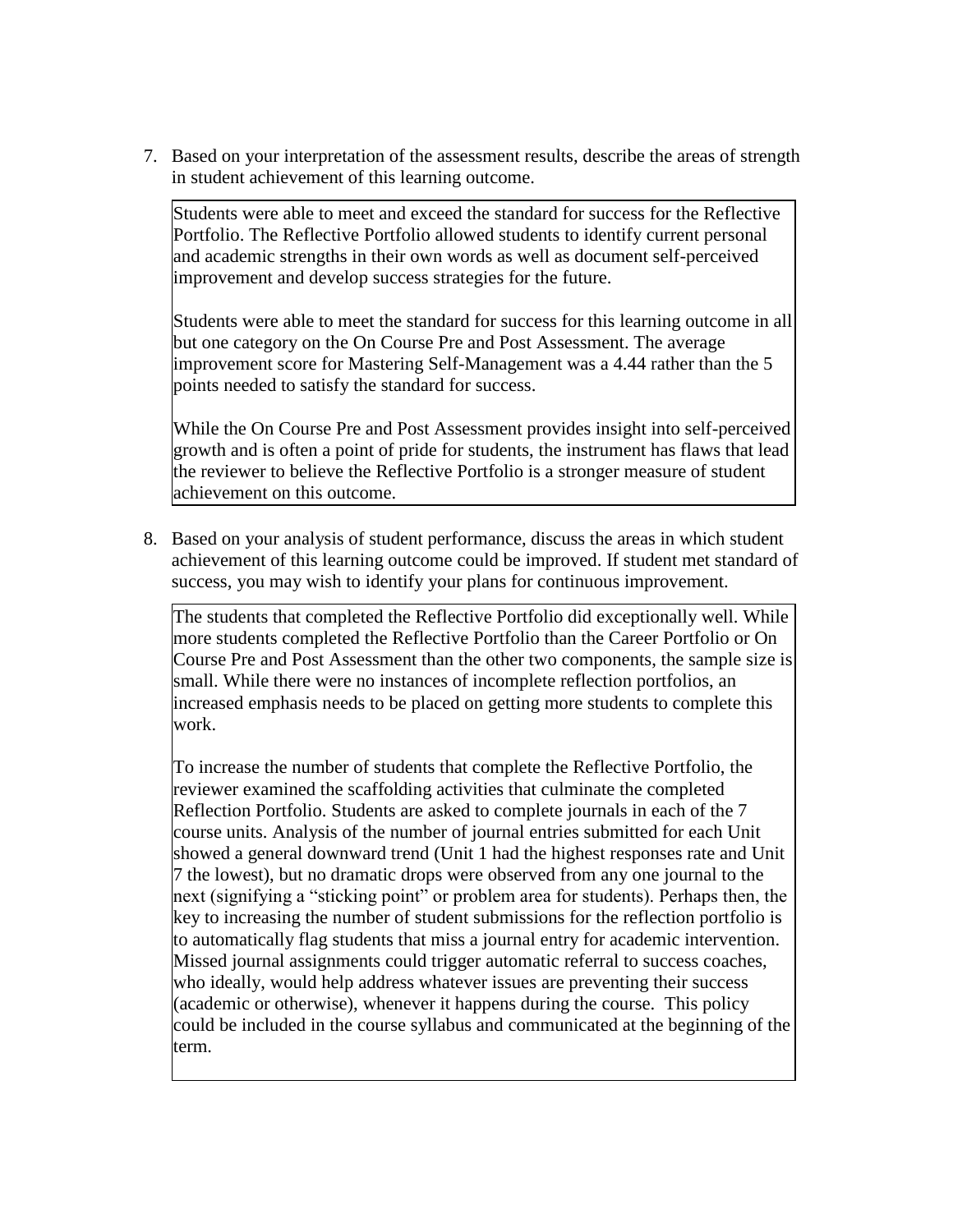7. Based on your interpretation of the assessment results, describe the areas of strength in student achievement of this learning outcome.

Students were able to meet and exceed the standard for success for the Reflective Portfolio. The Reflective Portfolio allowed students to identify current personal and academic strengths in their own words as well as document self-perceived improvement and develop success strategies for the future.

Students were able to meet the standard for success for this learning outcome in all but one category on the On Course Pre and Post Assessment. The average improvement score for Mastering Self-Management was a 4.44 rather than the 5 points needed to satisfy the standard for success.

While the On Course Pre and Post Assessment provides insight into self-perceived growth and is often a point of pride for students, the instrument has flaws that lead the reviewer to believe the Reflective Portfolio is a stronger measure of student achievement on this outcome.

8. Based on your analysis of student performance, discuss the areas in which student achievement of this learning outcome could be improved. If student met standard of success, you may wish to identify your plans for continuous improvement.

The students that completed the Reflective Portfolio did exceptionally well. While more students completed the Reflective Portfolio than the Career Portfolio or On Course Pre and Post Assessment than the other two components, the sample size is small. While there were no instances of incomplete reflection portfolios, an increased emphasis needs to be placed on getting more students to complete this work.

To increase the number of students that complete the Reflective Portfolio, the reviewer examined the scaffolding activities that culminate the completed Reflection Portfolio. Students are asked to complete journals in each of the 7 course units. Analysis of the number of journal entries submitted for each Unit showed a general downward trend (Unit 1 had the highest responses rate and Unit 7 the lowest), but no dramatic drops were observed from any one journal to the next (signifying a "sticking point" or problem area for students). Perhaps then, the key to increasing the number of student submissions for the reflection portfolio is to automatically flag students that miss a journal entry for academic intervention. Missed journal assignments could trigger automatic referral to success coaches, who ideally, would help address whatever issues are preventing their success (academic or otherwise), whenever it happens during the course. This policy could be included in the course syllabus and communicated at the beginning of the term.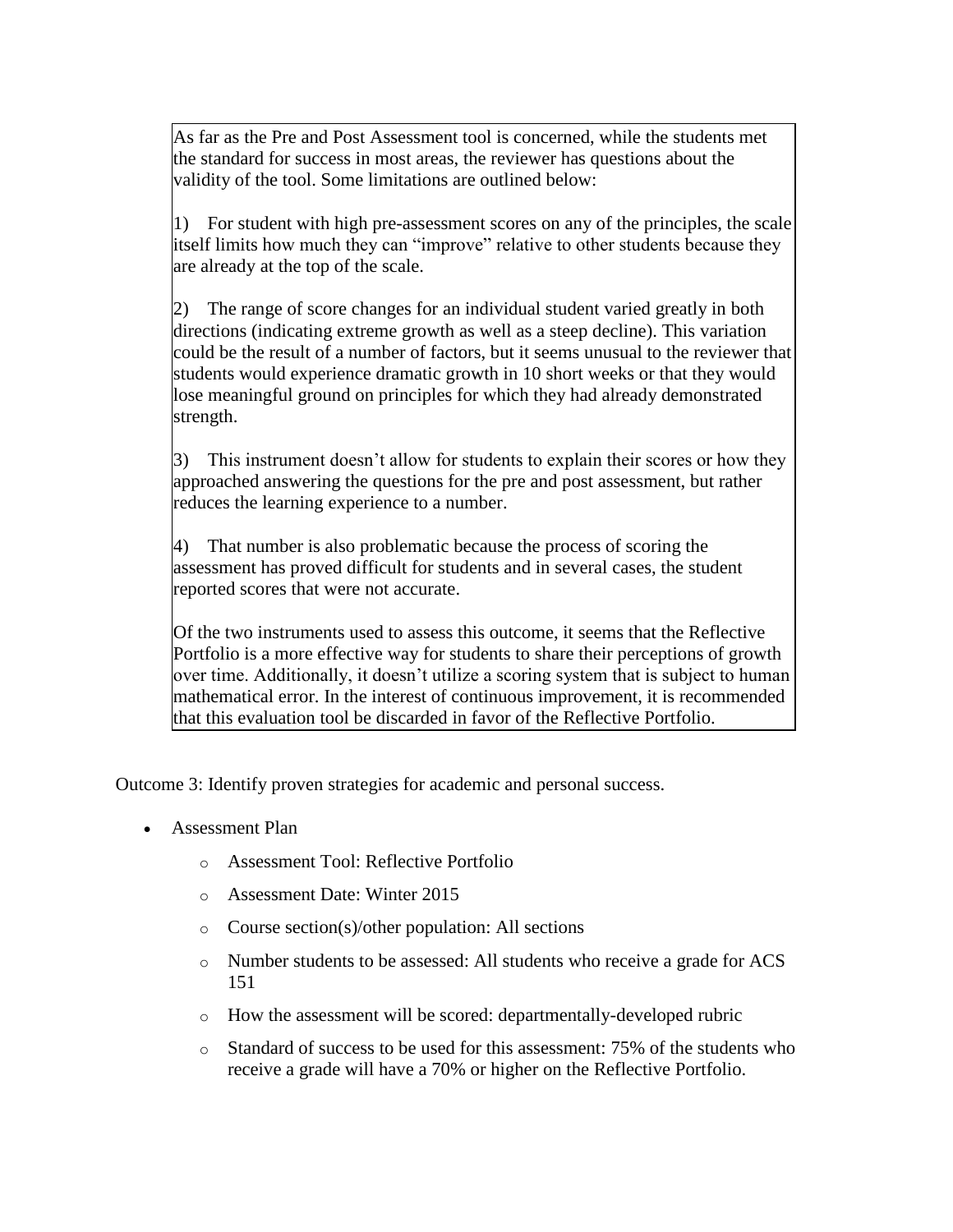As far as the Pre and Post Assessment tool is concerned, while the students met the standard for success in most areas, the reviewer has questions about the validity of the tool. Some limitations are outlined below:

1) For student with high pre-assessment scores on any of the principles, the scale itself limits how much they can "improve" relative to other students because they are already at the top of the scale.

2) The range of score changes for an individual student varied greatly in both directions (indicating extreme growth as well as a steep decline). This variation could be the result of a number of factors, but it seems unusual to the reviewer that students would experience dramatic growth in 10 short weeks or that they would lose meaningful ground on principles for which they had already demonstrated strength.

3) This instrument doesn't allow for students to explain their scores or how they approached answering the questions for the pre and post assessment, but rather reduces the learning experience to a number.

4) That number is also problematic because the process of scoring the assessment has proved difficult for students and in several cases, the student reported scores that were not accurate.

Of the two instruments used to assess this outcome, it seems that the Reflective Portfolio is a more effective way for students to share their perceptions of growth over time. Additionally, it doesn't utilize a scoring system that is subject to human mathematical error. In the interest of continuous improvement, it is recommended that this evaluation tool be discarded in favor of the Reflective Portfolio.

Outcome 3: Identify proven strategies for academic and personal success.

- Assessment Plan
	- o Assessment Tool: Reflective Portfolio
	- o Assessment Date: Winter 2015
	- o Course section(s)/other population: All sections
	- o Number students to be assessed: All students who receive a grade for ACS 151
	- o How the assessment will be scored: departmentally-developed rubric
	- o Standard of success to be used for this assessment: 75% of the students who receive a grade will have a 70% or higher on the Reflective Portfolio.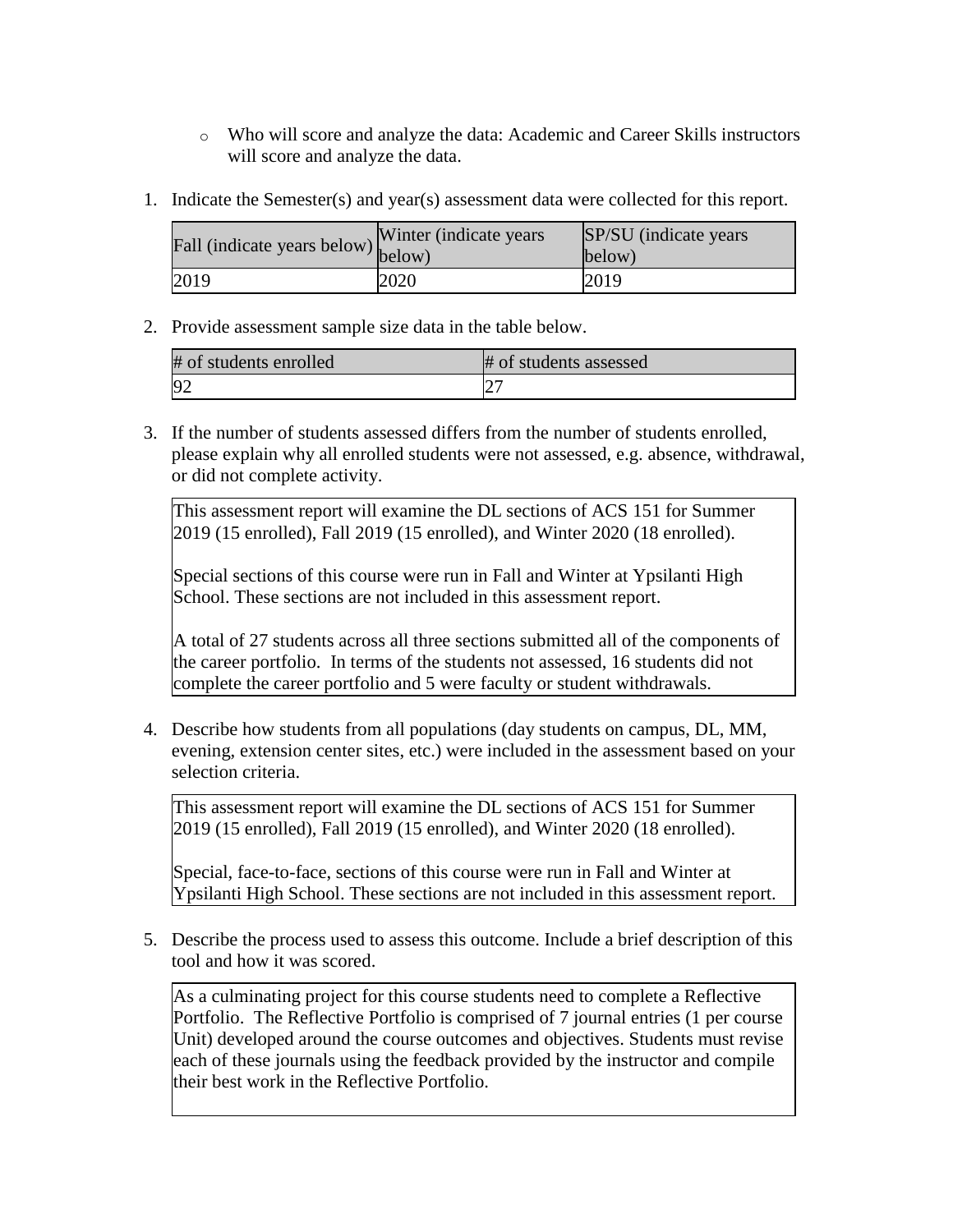- o Who will score and analyze the data: Academic and Career Skills instructors will score and analyze the data.
- 1. Indicate the Semester(s) and year(s) assessment data were collected for this report.

| Fall (indicate years below) below) | Winter (indicate years) | SP/SU (indicate years)<br>below) |
|------------------------------------|-------------------------|----------------------------------|
| 2019                               | 2020                    | 2019                             |

2. Provide assessment sample size data in the table below.

| # of students enrolled | # of students assessed |
|------------------------|------------------------|
|                        |                        |

3. If the number of students assessed differs from the number of students enrolled, please explain why all enrolled students were not assessed, e.g. absence, withdrawal, or did not complete activity.

This assessment report will examine the DL sections of ACS 151 for Summer 2019 (15 enrolled), Fall 2019 (15 enrolled), and Winter 2020 (18 enrolled).

Special sections of this course were run in Fall and Winter at Ypsilanti High School. These sections are not included in this assessment report.

A total of 27 students across all three sections submitted all of the components of the career portfolio. In terms of the students not assessed, 16 students did not complete the career portfolio and 5 were faculty or student withdrawals.

4. Describe how students from all populations (day students on campus, DL, MM, evening, extension center sites, etc.) were included in the assessment based on your selection criteria.

This assessment report will examine the DL sections of ACS 151 for Summer 2019 (15 enrolled), Fall 2019 (15 enrolled), and Winter 2020 (18 enrolled).

Special, face-to-face, sections of this course were run in Fall and Winter at Ypsilanti High School. These sections are not included in this assessment report.

5. Describe the process used to assess this outcome. Include a brief description of this tool and how it was scored.

As a culminating project for this course students need to complete a Reflective Portfolio. The Reflective Portfolio is comprised of 7 journal entries (1 per course Unit) developed around the course outcomes and objectives. Students must revise each of these journals using the feedback provided by the instructor and compile their best work in the Reflective Portfolio.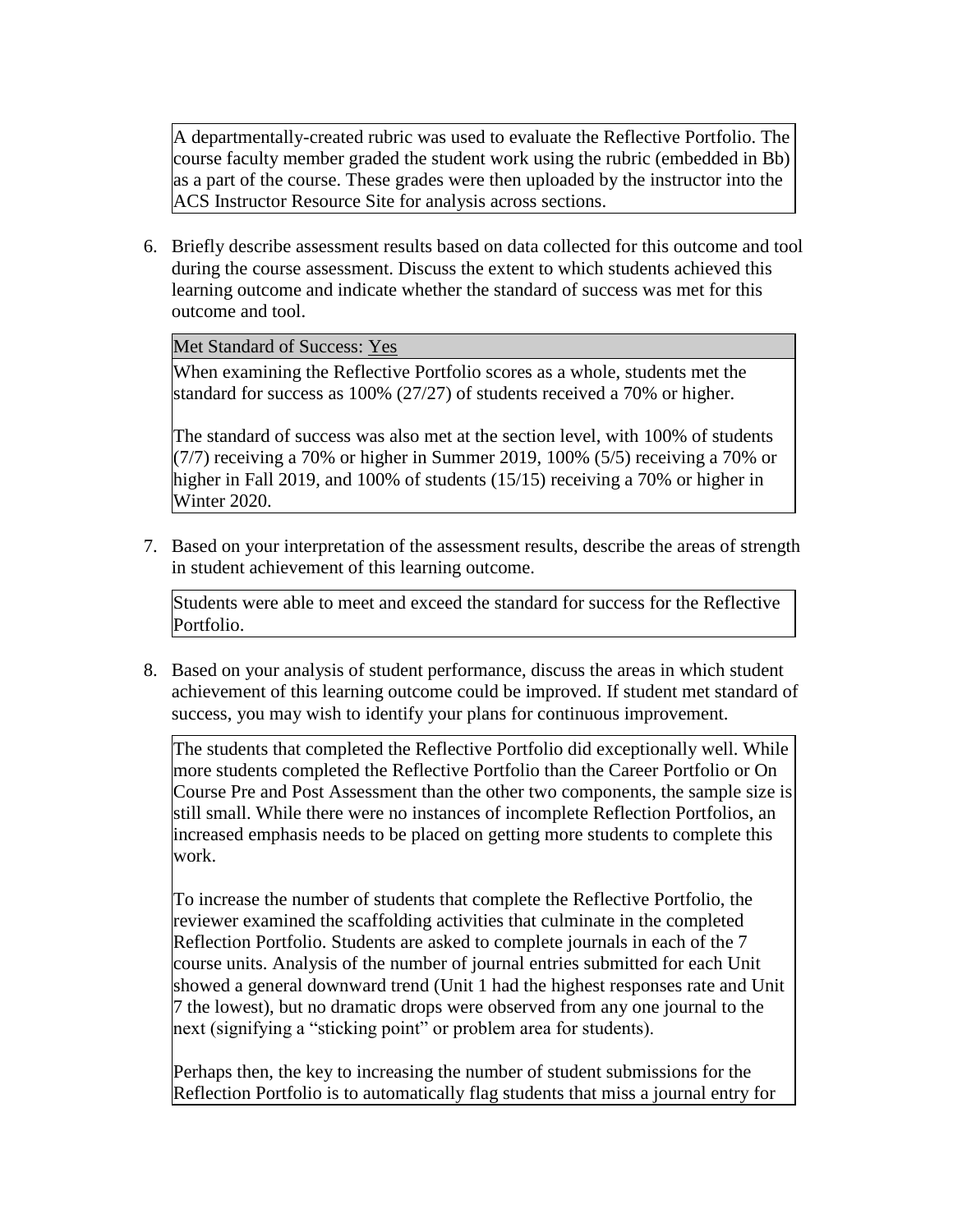A departmentally-created rubric was used to evaluate the Reflective Portfolio. The course faculty member graded the student work using the rubric (embedded in Bb) as a part of the course. These grades were then uploaded by the instructor into the ACS Instructor Resource Site for analysis across sections.

6. Briefly describe assessment results based on data collected for this outcome and tool during the course assessment. Discuss the extent to which students achieved this learning outcome and indicate whether the standard of success was met for this outcome and tool.

Met Standard of Success: Yes

When examining the Reflective Portfolio scores as a whole, students met the standard for success as 100% (27/27) of students received a 70% or higher.

The standard of success was also met at the section level, with 100% of students  $(7/7)$  receiving a 70% or higher in Summer 2019, 100% (5/5) receiving a 70% or higher in Fall 2019, and 100% of students (15/15) receiving a 70% or higher in Winter 2020.

7. Based on your interpretation of the assessment results, describe the areas of strength in student achievement of this learning outcome.

Students were able to meet and exceed the standard for success for the Reflective Portfolio.

8. Based on your analysis of student performance, discuss the areas in which student achievement of this learning outcome could be improved. If student met standard of success, you may wish to identify your plans for continuous improvement.

The students that completed the Reflective Portfolio did exceptionally well. While more students completed the Reflective Portfolio than the Career Portfolio or On Course Pre and Post Assessment than the other two components, the sample size is still small. While there were no instances of incomplete Reflection Portfolios, an increased emphasis needs to be placed on getting more students to complete this work.

To increase the number of students that complete the Reflective Portfolio, the reviewer examined the scaffolding activities that culminate in the completed Reflection Portfolio. Students are asked to complete journals in each of the 7 course units. Analysis of the number of journal entries submitted for each Unit showed a general downward trend (Unit 1 had the highest responses rate and Unit 7 the lowest), but no dramatic drops were observed from any one journal to the next (signifying a "sticking point" or problem area for students).

Perhaps then, the key to increasing the number of student submissions for the Reflection Portfolio is to automatically flag students that miss a journal entry for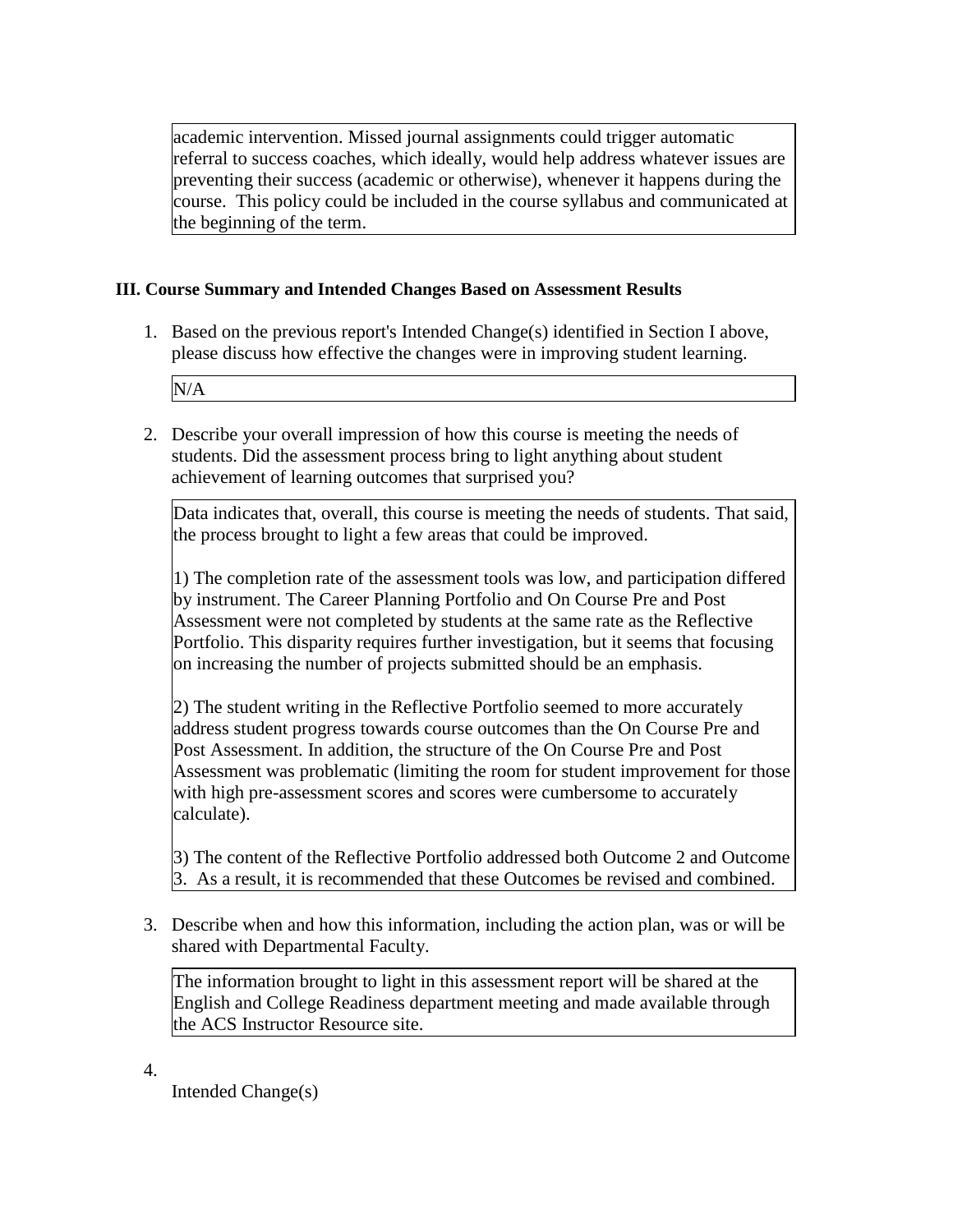academic intervention. Missed journal assignments could trigger automatic referral to success coaches, which ideally, would help address whatever issues are preventing their success (academic or otherwise), whenever it happens during the course. This policy could be included in the course syllabus and communicated at the beginning of the term.

# **III. Course Summary and Intended Changes Based on Assessment Results**

1. Based on the previous report's Intended Change(s) identified in Section I above, please discuss how effective the changes were in improving student learning.

N/A

2. Describe your overall impression of how this course is meeting the needs of students. Did the assessment process bring to light anything about student achievement of learning outcomes that surprised you?

Data indicates that, overall, this course is meeting the needs of students. That said, the process brought to light a few areas that could be improved.

1) The completion rate of the assessment tools was low, and participation differed by instrument. The Career Planning Portfolio and On Course Pre and Post Assessment were not completed by students at the same rate as the Reflective Portfolio. This disparity requires further investigation, but it seems that focusing on increasing the number of projects submitted should be an emphasis.

2) The student writing in the Reflective Portfolio seemed to more accurately address student progress towards course outcomes than the On Course Pre and Post Assessment. In addition, the structure of the On Course Pre and Post Assessment was problematic (limiting the room for student improvement for those with high pre-assessment scores and scores were cumbersome to accurately calculate).

3) The content of the Reflective Portfolio addressed both Outcome 2 and Outcome 3. As a result, it is recommended that these Outcomes be revised and combined.

3. Describe when and how this information, including the action plan, was or will be shared with Departmental Faculty.

The information brought to light in this assessment report will be shared at the English and College Readiness department meeting and made available through the ACS Instructor Resource site.

4.

Intended Change(s)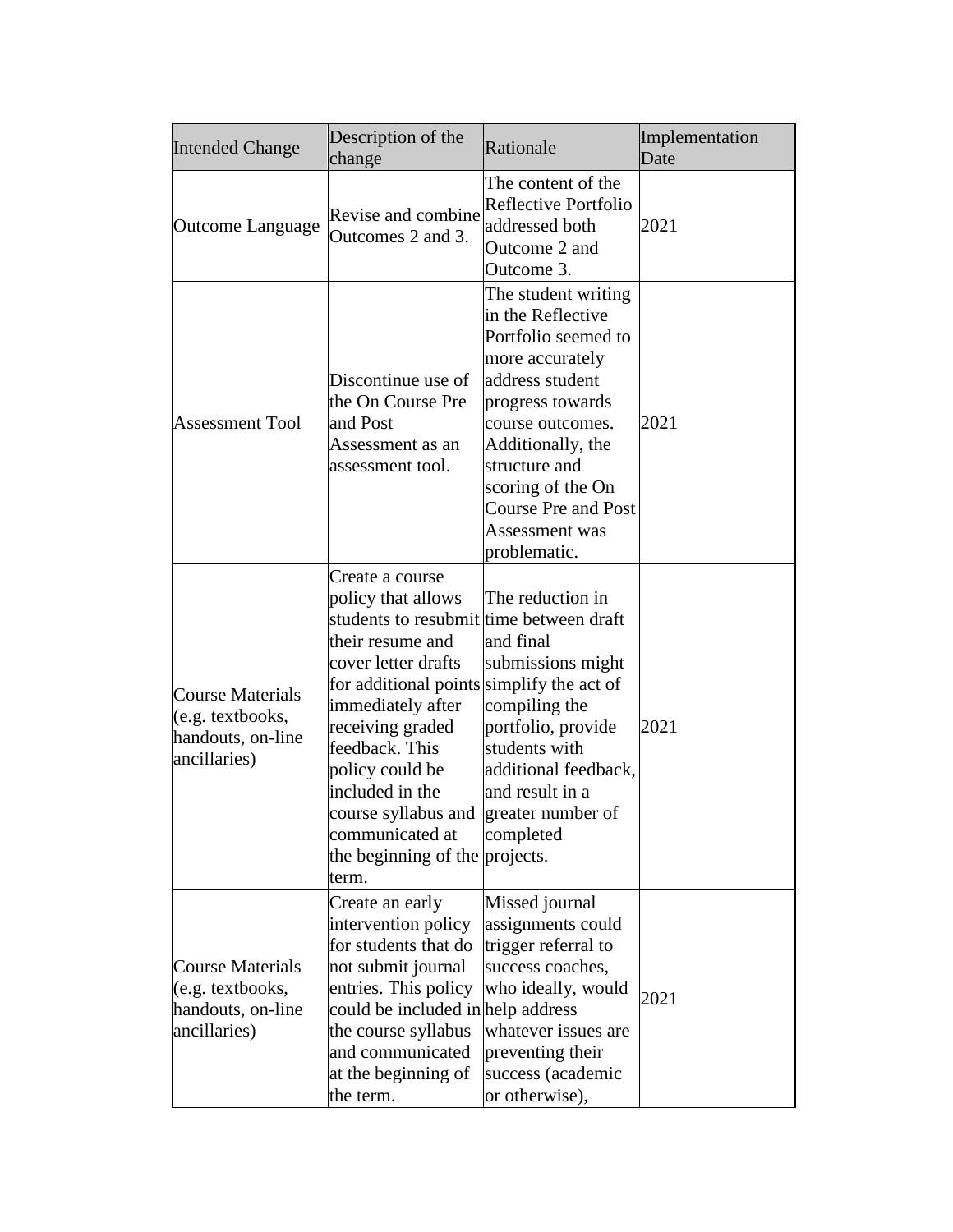| <b>Intended Change</b>                                                           | Description of the<br>change                                                                                                                                                                                                                                                                                                                                                     | Rationale                                                                                                                                                                                                                                                                | Implementation<br>Date |
|----------------------------------------------------------------------------------|----------------------------------------------------------------------------------------------------------------------------------------------------------------------------------------------------------------------------------------------------------------------------------------------------------------------------------------------------------------------------------|--------------------------------------------------------------------------------------------------------------------------------------------------------------------------------------------------------------------------------------------------------------------------|------------------------|
| Outcome Language                                                                 | Revise and combine<br>Outcomes 2 and 3.                                                                                                                                                                                                                                                                                                                                          | The content of the<br>Reflective Portfolio<br>addressed both<br>Outcome 2 and<br>Outcome 3.                                                                                                                                                                              | 2021                   |
| <b>Assessment Tool</b>                                                           | Discontinue use of<br>the On Course Pre<br>and Post<br>Assessment as an<br>assessment tool.                                                                                                                                                                                                                                                                                      | The student writing<br>in the Reflective<br>Portfolio seemed to<br>more accurately<br>address student<br>progress towards<br>course outcomes.<br>Additionally, the<br>structure and<br>scoring of the On<br><b>Course Pre and Post</b><br>Assessment was<br>problematic. | 2021                   |
| Course Materials<br>(e.g. textbooks,<br>handouts, on-line<br>ancillaries)        | Create a course<br>policy that allows<br>students to resubmit time between draft<br>their resume and<br>cover letter drafts<br>for additional points simplify the act of<br>immediately after<br>receiving graded<br>feedback. This<br>policy could be<br>included in the<br>course syllabus and greater number of<br>communicated at<br>the beginning of the projects.<br>term. | The reduction in<br>and final<br>submissions might<br>compiling the<br>portfolio, provide<br>students with<br>additional feedback,<br>and result in a<br>completed                                                                                                       | 2021                   |
| <b>Course Materials</b><br>(e.g. textbooks,<br>handouts, on-line<br>ancillaries) | Create an early<br>intervention policy<br>for students that do<br>not submit journal<br>entries. This policy<br>could be included in help address<br>the course syllabus<br>and communicated<br>at the beginning of<br>the term.                                                                                                                                                 | Missed journal<br>assignments could<br>trigger referral to<br>success coaches,<br>who ideally, would<br>whatever issues are<br>preventing their<br>success (academic<br>or otherwise),                                                                                   | 2021                   |